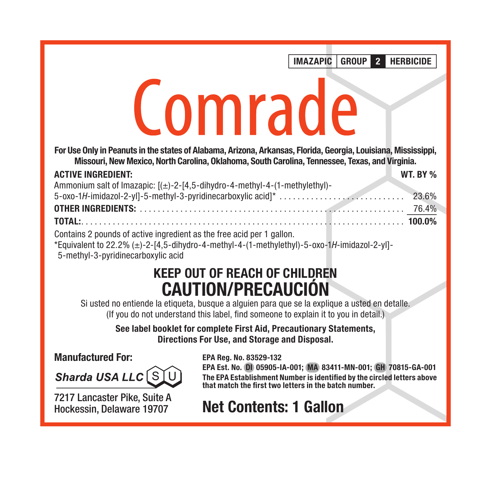IMAZAPIC GROUP 2 HERBICIDE

# Comrade

For Use Only in Peanuts in the states of Alabama, Arizona, Arkansas, Florida, Georgia, Louisiana, Mississippi, Missouri, New Mexico, North Carolina, Oklahoma, South Carolina, Tennessee, Texas, and Virginia.

#### ACTIVE INGREDIENT: WT. BY %

| Ammonium salt of Imazapic: $[(\pm)$ -2-[4,5-dihydro-4-methyl-4-(1-methylethyl)- |  |
|---------------------------------------------------------------------------------|--|
|                                                                                 |  |
|                                                                                 |  |
|                                                                                 |  |
| Containe 2 nounde of estive ingredient as the free poid par 1 gallon            |  |

Contains 2 pounds of active ingredient as the free acid per 1 gallon.

\*Equivalent to 22.2% (±)-2-[4,5-dihydro-4-methyl-4-(1-methylethyl)-5-oxo-1*H*-imidazol-2-yl]- 5-methyl-3-pyridinecarboxylic acid

# KEEP OUT OF REACH OF CHILDREN CAUTION/PRECAUCIÓN

Si usted no entiende la etiqueta, busque a alguien para que se la explique a usted en detalle. (If you do not understand this label, find someone to explain it to you in detail.)

> See label booklet for complete First Aid, Precautionary Statements, Directions For Use, and Storage and Disposal.

#### Manufactured For:

Sharda USA LLC S

7217 Lancaster Pike, Suite A Hockessin, Delaware 19707

EPA Reg. No. 83529-132

EPA Est. No. DI 05905-IA-001; MA 83411-MN-001; GH 70815-GA-001 The EPA Establishment Number is identified by the circled letters above that match the first two letters in the batch number.

# Net Contents: 1 Gallon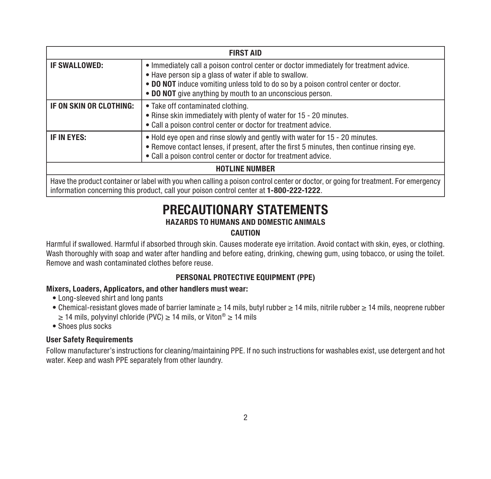| <b>FIRST AID</b>        |                                                                                                                                                                                                                                                                                                      |  |
|-------------------------|------------------------------------------------------------------------------------------------------------------------------------------------------------------------------------------------------------------------------------------------------------------------------------------------------|--|
| IF SWALLOWED:           | • Immediately call a poison control center or doctor immediately for treatment advice.<br>• Have person sip a glass of water if able to swallow.<br>• DO NOT induce vomiting unless told to do so by a poison control center or doctor.<br>• DO NOT give anything by mouth to an unconscious person. |  |
| IF ON SKIN OR CLOTHING: | • Take off contaminated clothing.<br>• Rinse skin immediately with plenty of water for 15 - 20 minutes.<br>• Call a poison control center or doctor for treatment advice.                                                                                                                            |  |
| IF IN EYES:             | . Hold eye open and rinse slowly and gently with water for 15 - 20 minutes.<br>• Remove contact lenses, if present, after the first 5 minutes, then continue rinsing eve.<br>. Call a poison control center or doctor for treatment advice.                                                          |  |
| <b>HOTLINE NUMBER</b>   |                                                                                                                                                                                                                                                                                                      |  |
|                         | Have the product container or label with you when calling a poison control center or doctor, or going for treatment. For emergency<br>information concerning this product, call your poison control center at 1-800-222-1222.                                                                        |  |

# PRECAUTIONARY STATEMENTS

#### HAZARDS TO HUMANS AND DOMESTIC ANIMALS

#### CAUTION

Harmful if swallowed. Harmful if absorbed through skin. Causes moderate eye irritation. Avoid contact with skin, eyes, or clothing. Wash thoroughly with soap and water after handling and before eating, drinking, chewing gum, using tobacco, or using the toilet. Remove and wash contaminated clothes before reuse.

#### PERSONAL PROTECTIVE EQUIPMENT (PPE)

#### Mixers, Loaders, Applicators, and other handlers must wear:

- Long-sleeved shirt and long pants
- Chemical-resistant gloves made of barrier laminate ≥ 14 mils, butyl rubber ≥ 14 mils, nitrile rubber ≥ 14 mils, neoprene rubber ≥ 14 mils, polyvinyl chloride (PVC) ≥ 14 mils, or Viton® ≥ 14 mils
- Shoes plus socks

#### User Safety Requirements

Follow manufacturer's instructions for cleaning/maintaining PPE. If no such instructions for washables exist, use detergent and hot water. Keep and wash PPE separately from other laundry.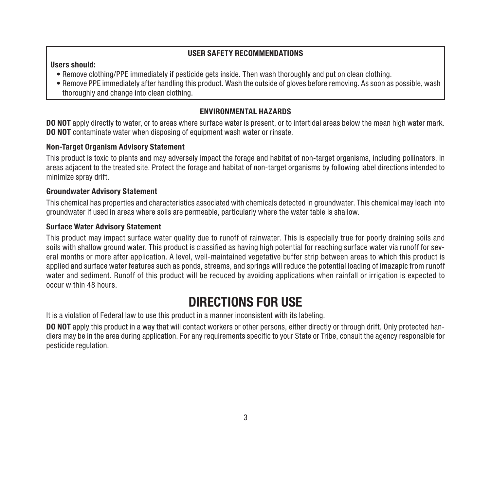#### USER SAFETY RECOMMENDATIONS

#### Users should:

- Remove clothing/PPE immediately if pesticide gets inside. Then wash thoroughly and put on clean clothing.
- Remove PPE immediately after handling this product. Wash the outside of gloves before removing. As soon as possible, wash thoroughly and change into clean clothing.

#### ENVIRONMENTAL HAZARDS

DO NOT apply directly to water, or to areas where surface water is present, or to intertidal areas below the mean high water mark. DO NOT contaminate water when disposing of equipment wash water or rinsate.

#### Non-Target Organism Advisory Statement

This product is toxic to plants and may adversely impact the forage and habitat of non-target organisms, including pollinators, in areas adjacent to the treated site. Protect the forage and habitat of non-target organisms by following label directions intended to minimize spray drift.

#### Groundwater Advisory Statement

This chemical has properties and characteristics associated with chemicals detected in groundwater. This chemical may leach into groundwater if used in areas where soils are permeable, particularly where the water table is shallow.

#### Surface Water Advisory Statement

This product may impact surface water quality due to runoff of rainwater. This is especially true for poorly draining soils and soils with shallow ground water. This product is classified as having high potential for reaching surface water via runoff for several months or more after application. A level, well-maintained vegetative buffer strip between areas to which this product is applied and surface water features such as ponds, streams, and springs will reduce the potential loading of imazapic from runoff water and sediment. Runoff of this product will be reduced by avoiding applications when rainfall or irrigation is expected to occur within 48 hours.

### DIRECTIONS FOR USE

It is a violation of Federal law to use this product in a manner inconsistent with its labeling.

DO NOT apply this product in a way that will contact workers or other persons, either directly or through drift. Only protected handlers may be in the area during application. For any requirements specific to your State or Tribe, consult the agency responsible for pesticide regulation.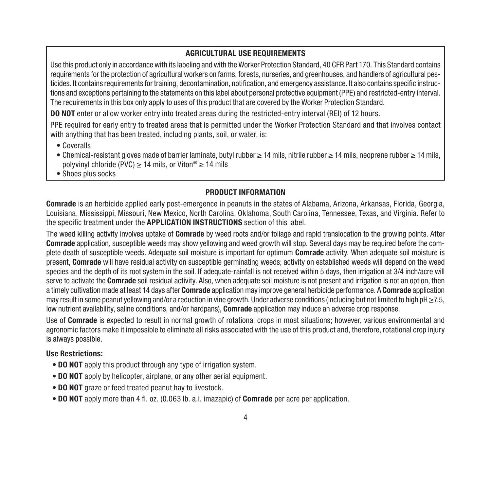#### AGRICULTURAL USE REQUIREMENTS

Use this product only in accordance with its labeling and with the Worker Protection Standard, 40 CFR Part 170. This Standard contains requirements for the protection of agricultural workers on farms, forests, nurseries, and greenhouses, and handlers of agricultural pesticides. It contains requirements for training, decontamination, notification, and emergency assistance. It also contains specific instructions and exceptions pertaining to the statements on this label about personal protective equipment (PPE) and restricted-entry interval. The requirements in this box only apply to uses of this product that are covered by the Worker Protection Standard.

DO NOT enter or allow worker entry into treated areas during the restricted-entry interval (REI) of 12 hours.

PPE required for early entry to treated areas that is permitted under the Worker Protection Standard and that involves contact with anything that has been treated, including plants, soil, or water, is:

- Coveralls
- Chemical-resistant gloves made of barrier laminate, butyl rubber ≥ 14 mils, nitrile rubber ≥ 14 mils, neoprene rubber ≥ 14 mils, polyvinyl chloride (PVC) > 14 mils, or Viton®  $\geq$  14 mils
- Shoes plus socks

#### PRODUCT INFORMATION

Comrade is an herbicide applied early post-emergence in peanuts in the states of Alabama, Arizona, Arkansas, Florida, Georgia, Louisiana, Mississippi, Missouri, New Mexico, North Carolina, Oklahoma, South Carolina, Tennessee, Texas, and Virginia. Refer to the specific treatment under the APPLICATION INSTRUCTIONS section of this label.

The weed killing activity involves uptake of **Comrade** by weed roots and/or foliage and rapid translocation to the growing points. After Comrade application, susceptible weeds may show yellowing and weed growth will stop. Several days may be required before the complete death of susceptible weeds. Adequate soil moisture is important for optimum Comrade activity. When adequate soil moisture is present. Comrade will have residual activity on susceptible germinating weeds; activity on established weeds will depend on the weed species and the depth of its root system in the soil. If adequate-rainfall is not received within 5 days, then irrigation at 3/4 inch/acre will serve to activate the Comrade soil residual activity. Also, when adequate soil moisture is not present and irrigation is not an option, then a timely cultivation made at least 14 days after **Comrade** application may improve general herbicide performance. A Comrade application may result in some peanut yellowing and/or a reduction in vine growth. Under adverse conditions (including but not limited to high pH ≥7.5, low nutrient availability, saline conditions, and/or hardpans), **Comrade** application may induce an adverse crop response.

Use of **Comrade** is expected to result in normal growth of rotational crops in most situations; however, various environmental and agronomic factors make it impossible to eliminate all risks associated with the use of this product and, therefore, rotational crop injury is always possible.

#### Use Restrictions:

- **DO NOT** apply this product through any type of irrigation system.
- **DO NOT** apply by helicopter, airplane, or any other aerial equipment.
- DO NOT graze or feed treated peanut hay to livestock.
- DO NOT apply more than 4 fl. oz. (0.063 lb. a.i. imazapic) of Comrade per acre per application.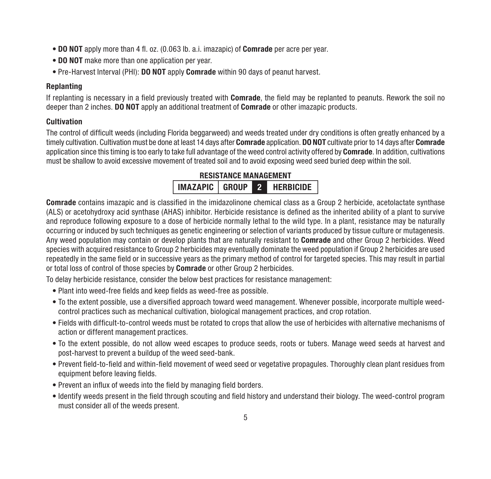- DO NOT apply more than 4 fl. oz. (0.063 lb. a.i. imazapic) of Comrade per acre per year.
- DO NOT make more than one application per year.
- Pre-Harvest Interval (PHI): DO NOT apply Comrade within 90 days of peanut harvest.

#### Replanting

If replanting is necessary in a field previously treated with **Comrade**, the field may be replanted to peanuts. Rework the soil no deeper than 2 inches. **DO NOT** apply an additional treatment of **Comrade** or other imazapic products.

#### Cultivation

The control of difficult weeds (including Florida beggarweed) and weeds treated under dry conditions is often greatly enhanced by a timely cultivation. Cultivation must be done at least 14 days after Comrade application. DO NOT cultivate prior to 14 days after Comrade application since this timing is too early to take full advantage of the weed control activity offered by Comrade. In addition, cultivations must be shallow to avoid excessive movement of treated soil and to avoid exposing weed seed buried deep within the soil.

#### RESISTANCE MANAGEMENT IMAZAPIC GROUP 2 HERBICIDE

Comrade contains imazapic and is classified in the imidazolinone chemical class as a Group 2 herbicide, acetolactate synthase (ALS) or acetohydroxy acid synthase (AHAS) inhibitor. Herbicide resistance is defined as the inherited ability of a plant to survive and reproduce following exposure to a dose of herbicide normally lethal to the wild type. In a plant, resistance may be naturally occurring or induced by such techniques as genetic engineering or selection of variants produced by tissue culture or mutagenesis. Any weed population may contain or develop plants that are naturally resistant to Comrade and other Group 2 herbicides. Weed species with acquired resistance to Group 2 herbicides may eventually dominate the weed population if Group 2 herbicides are used repeatedly in the same field or in successive years as the primary method of control for targeted species. This may result in partial or total loss of control of those species by Comrade or other Group 2 herbicides.

To delay herbicide resistance, consider the below best practices for resistance management:

- Plant into weed-free fields and keep fields as weed-free as possible.
- To the extent possible, use a diversified approach toward weed management. Whenever possible, incorporate multiple weedcontrol practices such as mechanical cultivation, biological management practices, and crop rotation.
- Fields with difficult-to-control weeds must be rotated to crops that allow the use of herbicides with alternative mechanisms of action or different management practices.
- To the extent possible, do not allow weed escapes to produce seeds, roots or tubers. Manage weed seeds at harvest and post-harvest to prevent a buildup of the weed seed-bank.
- Prevent field-to-field and within-field movement of weed seed or vegetative propagules. Thoroughly clean plant residues from equipment before leaving fields.
- Prevent an influx of weeds into the field by managing field borders.
- Identify weeds present in the field through scouting and field history and understand their biology. The weed-control program must consider all of the weeds present.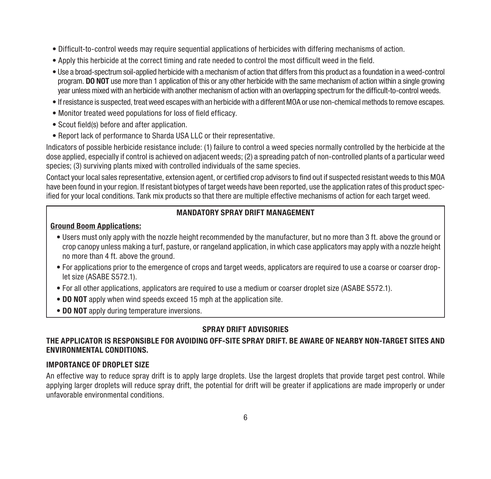- Difficult-to-control weeds may require sequential applications of herbicides with differing mechanisms of action.
- Apply this herbicide at the correct timing and rate needed to control the most difficult weed in the field.
- Use a broad-spectrum soil-applied herbicide with a mechanism of action that differs from this product as a foundation in a weed-control program. **DO NOT** use more than 1 application of this or any other herbicide with the same mechanism of action within a single growing year unless mixed with an herbicide with another mechanism of action with an overlapping spectrum for the difficult-to-control weeds.
- If resistance is suspected, treat weed escapes with an herbicide with a different MOA or use non-chemical methods to remove escapes.
- Monitor treated weed populations for loss of field efficacy.
- Scout field(s) before and after application.
- Report lack of performance to Sharda USA LLC or their representative.

Indicators of possible herbicide resistance include: (1) failure to control a weed species normally controlled by the herbicide at the dose applied, especially if control is achieved on adjacent weeds; (2) a spreading patch of non-controlled plants of a particular weed species; (3) surviving plants mixed with controlled individuals of the same species.

Contact your local sales representative, extension agent, or certified crop advisors to find out if suspected resistant weeds to this MOA have been found in your region. If resistant biotypes of target weeds have been reported, use the application rates of this product specified for your local conditions. Tank mix products so that there are multiple effective mechanisms of action for each target weed.

#### MANDATORY SPRAY DRIFT MANAGEMENT

#### Ground Boom Applications:

- Users must only apply with the nozzle height recommended by the manufacturer, but no more than 3 ft. above the ground or crop canopy unless making a turf, pasture, or rangeland application, in which case applicators may apply with a nozzle height no more than 4 ft. above the ground.
- For applications prior to the emergence of crops and target weeds, applicators are required to use a coarse or coarser droplet size (ASABE S572.1).
- For all other applications, applicators are required to use a medium or coarser droplet size (ASABE S572.1).
- DO NOT apply when wind speeds exceed 15 mph at the application site.
- DO NOT apply during temperature inversions.

#### SPRAY DRIFT ADVISORIES

#### THE APPLICATOR IS RESPONSIBLE FOR AVOIDING OFF-SITE SPRAY DRIFT. BE AWARE OF NEARBY NON-TARGET SITES AND ENVIRONMENTAL CONDITIONS.

#### IMPORTANCE OF DROPLET SIZE

An effective way to reduce spray drift is to apply large droplets. Use the largest droplets that provide target pest control. While applying larger droplets will reduce spray drift, the potential for drift will be greater if applications are made improperly or under unfavorable environmental conditions.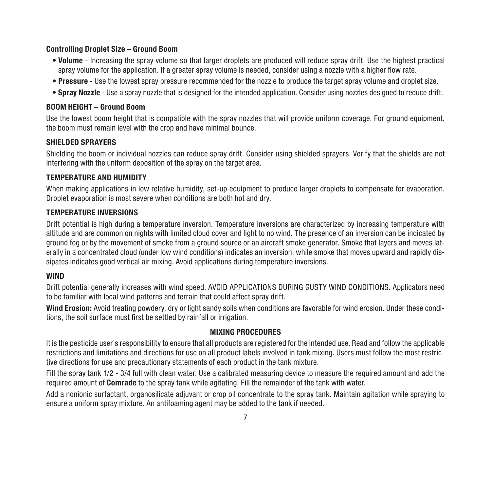#### Controlling Droplet Size – Ground Boom

- Volume Increasing the spray volume so that larger droplets are produced will reduce spray drift. Use the highest practical spray volume for the application. If a greater spray volume is needed, consider using a nozzle with a higher flow rate.
- Pressure Use the lowest spray pressure recommended for the nozzle to produce the target spray volume and droplet size.
- Spray Nozzle Use a spray nozzle that is designed for the intended application. Consider using nozzles designed to reduce drift.

#### BOOM HEIGHT – Ground Boom

Use the lowest boom height that is compatible with the spray nozzles that will provide uniform coverage. For ground equipment, the boom must remain level with the crop and have minimal bounce.

#### SHIELDED SPRAYERS

Shielding the boom or individual nozzles can reduce spray drift. Consider using shielded sprayers. Verify that the shields are not interfering with the uniform deposition of the spray on the target area.

#### TEMPERATURE AND HUMIDITY

When making applications in low relative humidity, set-up equipment to produce larger droplets to compensate for evaporation. Droplet evaporation is most severe when conditions are both hot and dry.

#### TEMPERATURE INVERSIONS

Drift potential is high during a temperature inversion. Temperature inversions are characterized by increasing temperature with altitude and are common on nights with limited cloud cover and light to no wind. The presence of an inversion can be indicated by ground fog or by the movement of smoke from a ground source or an aircraft smoke generator. Smoke that layers and moves laterally in a concentrated cloud (under low wind conditions) indicates an inversion, while smoke that moves upward and rapidly dissipates indicates good vertical air mixing. Avoid applications during temperature inversions.

#### **WIND**

Drift potential generally increases with wind speed. AVOID APPLICATIONS DURING GUSTY WIND CONDITIONS. Applicators need to be familiar with local wind patterns and terrain that could affect spray drift.

Wind Erosion: Avoid treating powdery, dry or light sandy soils when conditions are favorable for wind erosion. Under these conditions, the soil surface must first be settled by rainfall or irrigation.

#### MIXING PROCEDURES

It is the pesticide user's responsibility to ensure that all products are registered for the intended use. Read and follow the applicable restrictions and limitations and directions for use on all product labels involved in tank mixing. Users must follow the most restrictive directions for use and precautionary statements of each product in the tank mixture.

Fill the spray tank 1/2 - 3/4 full with clean water. Use a calibrated measuring device to measure the required amount and add the required amount of **Comrade** to the spray tank while agitating. Fill the remainder of the tank with water.

Add a nonionic surfactant, organosilicate adjuvant or crop oil concentrate to the spray tank. Maintain agitation while spraying to ensure a uniform spray mixture. An antifoaming agent may be added to the tank if needed.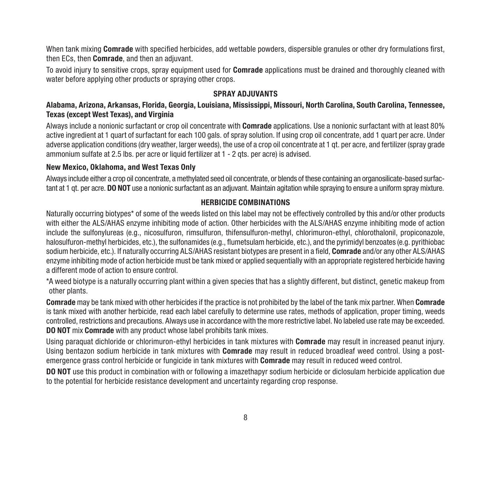When tank mixing Comrade with specified herbicides, add wettable powders, dispersible granules or other dry formulations first, then ECs, then **Comrade**, and then an adjuvant.

To avoid injury to sensitive crops, spray equipment used for **Comrade** applications must be drained and thoroughly cleaned with water before applying other products or spraying other crops.

#### SPRAY ADJUVANTS

#### Alabama, Arizona, Arkansas, Florida, Georgia, Louisiana, Mississippi, Missouri, North Carolina, South Carolina, Tennessee, Texas (except West Texas), and Virginia

Always include a nonionic surfactant or crop oil concentrate with **Comrade** applications. Use a nonionic surfactant with at least 80% active ingredient at 1 quart of surfactant for each 100 gals. of spray solution. If using crop oil concentrate, add 1 quart per acre. Under adverse application conditions (dry weather, larger weeds), the use of a crop oil concentrate at 1 qt. per acre, and fertilizer (spray grade ammonium sulfate at 2.5 lbs, per acre or liquid fertilizer at 1 - 2 qts, per acre) is advised.

#### New Mexico, Oklahoma, and West Texas Only

Always include either a crop oil concentrate, a methylated seed oil concentrate, or blends of these containing an organosilicate-based surfactant at 1 gt. per acre. **DO NOT** use a nonionic surfactant as an adjuvant. Maintain agitation while spraying to ensure a uniform spray mixture.

#### HERBICIDE COMBINATIONS

Naturally occurring biotypes\* of some of the weeds listed on this label may not be effectively controlled by this and/or other products with either the ALS/AHAS enzyme inhibiting mode of action. Other herbicides with the ALS/AHAS enzyme inhibiting mode of action include the sulfonylureas (e.g., nicosulfuron, rimsulfuron, thifensulfuron-methyl, chlorimuron-ethyl, chlorothalonil, propiconazole, halosulfuron-methyl herbicides, etc.), the sulfonamides (e.g., flumetsulam herbicide, etc.), and the pyrimidyl benzoates (e.g. pyrithiobac sodium herbicide, etc.). If naturally occurring ALS/AHAS resistant biotypes are present in a field, Comrade and/or any other ALS/AHAS enzyme inhibiting mode of action herbicide must be tank mixed or applied sequentially with an appropriate registered herbicide having a different mode of action to ensure control.

\*A weed biotype is a naturally occurring plant within a given species that has a slightly different, but distinct, genetic makeup from other plants.

Comrade may be tank mixed with other herbicides if the practice is not prohibited by the label of the tank mix partner. When Comrade is tank mixed with another herbicide, read each label carefully to determine use rates, methods of application, proper timing, weeds controlled, restrictions and precautions. Always use in accordance with the more restrictive label. No labeled use rate may be exceeded. DO NOT mix Comrade with any product whose label prohibits tank mixes.

Using paraquat dichloride or chlorimuron-ethyl herbicides in tank mixtures with Comrade may result in increased peanut injury. Using bentazon sodium herbicide in tank mixtures with **Comrade** may result in reduced broadleaf weed control. Using a postemergence grass control herbicide or fungicide in tank mixtures with **Comrade** may result in reduced weed control.

DO NOT use this product in combination with or following a imazethapyr sodium herbicide or diclosulam herbicide application due to the potential for herbicide resistance development and uncertainty regarding crop response.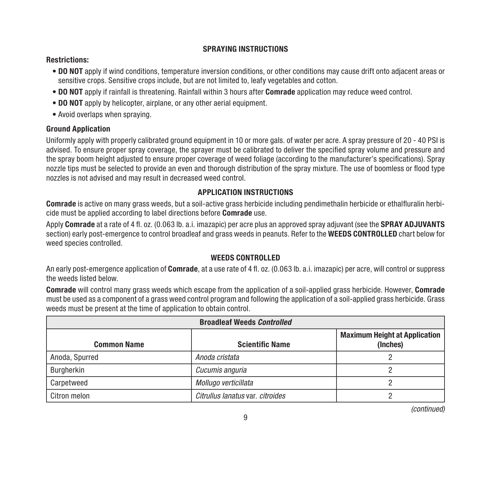#### SPRAYING INSTRUCTIONS

#### Restrictions:

- DO NOT apply if wind conditions, temperature inversion conditions, or other conditions may cause drift onto adjacent areas or sensitive crops. Sensitive crops include, but are not limited to, leafy vegetables and cotton.
- DO NOT apply if rainfall is threatening. Rainfall within 3 hours after Comrade application may reduce weed control.
- DO NOT apply by helicopter, airplane, or any other aerial equipment.
- Avoid overlaps when spraying.

#### Ground Application

Uniformly apply with properly calibrated ground equipment in 10 or more gals. of water per acre. A spray pressure of 20 - 40 PSI is advised. To ensure proper spray coverage, the sprayer must be calibrated to deliver the specified spray volume and pressure and the spray boom height adjusted to ensure proper coverage of weed foliage (according to the manufacturer's specifications). Spray nozzle tips must be selected to provide an even and thorough distribution of the spray mixture. The use of boomless or flood type nozzles is not advised and may result in decreased weed control.

#### APPLICATION INSTRUCTIONS

Comrade is active on many grass weeds, but a soil-active grass herbicide including pendimethalin herbicide or ethalfluralin herbicide must be applied according to label directions before Comrade use.

Apply Comrade at a rate of 4 fl. oz. (0.063 lb. a.i. imazapic) per acre plus an approved spray adjuvant (see the SPRAY ADJUVANTS section) early post-emergence to control broadleaf and grass weeds in peanuts. Refer to the WEEDS CONTROLLED chart below for weed species controlled.

#### WEEDS CONTROLLED.

An early post-emergence application of **Comrade**, at a use rate of 4 fl. oz. (0.063 lb. a.i. imazapic) per acre, will control or suppress the weeds listed below.

Comrade will control many grass weeds which escape from the application of a soil-applied grass herbicide. However, Comrade must be used as a component of a grass weed control program and following the application of a soil-applied grass herbicide. Grass weeds must be present at the time of application to obtain control.

| <b>Broadleaf Weeds Controlled</b> |                                  |                                                  |  |
|-----------------------------------|----------------------------------|--------------------------------------------------|--|
| <b>Common Name</b>                | <b>Scientific Name</b>           | <b>Maximum Height at Application</b><br>(Inches) |  |
| Anoda, Spurred                    | Anoda cristata                   |                                                  |  |
| Burgherkin                        | Cucumis anguria                  |                                                  |  |
| Carpetweed                        | Mollugo verticillata             |                                                  |  |
| Citron melon                      | Citrullus lanatus var. citroides |                                                  |  |

*(continued)*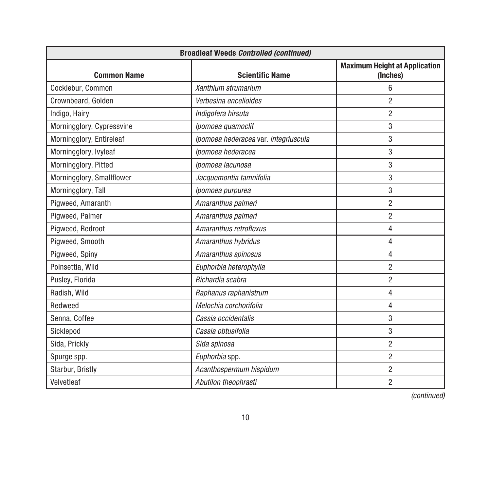| <b>Broadleaf Weeds Controlled (continued)</b> |                                      |                                                  |
|-----------------------------------------------|--------------------------------------|--------------------------------------------------|
| <b>Common Name</b>                            | <b>Scientific Name</b>               | <b>Maximum Height at Application</b><br>(Inches) |
| Cocklebur, Common                             | Xanthium strumarium                  | 6                                                |
| Crownbeard, Golden                            | Verbesina encelioides                | $\overline{c}$                                   |
| Indigo, Hairy                                 | Indigofera hirsuta                   | $\overline{c}$                                   |
| Morningglory, Cypressvine                     | Ipomoea quamoclit                    | 3                                                |
| Morningglory, Entireleaf                      | Ipomoea hederacea var. integriuscula | 3                                                |
| Morningglory, Ivyleaf                         | Ipomoea hederacea                    | 3                                                |
| Morningglory, Pitted                          | Ipomoea lacunosa                     | 3                                                |
| Morningglory, Smallflower                     | Jacquemontia tamnifolia              | 3                                                |
| Morningglory, Tall                            | Ipomoea purpurea                     | 3                                                |
| Piaweed, Amaranth                             | Amaranthus palmeri                   | $\overline{c}$                                   |
| Pigweed, Palmer                               | Amaranthus palmeri                   | $\overline{c}$                                   |
| Pigweed, Redroot                              | Amaranthus retroflexus               | 4                                                |
| Pigweed, Smooth                               | Amaranthus hybridus                  | 4                                                |
| Pigweed, Spiny                                | Amaranthus spinosus                  | 4                                                |
| Poinsettia, Wild                              | Euphorbia heterophylla               | $\overline{c}$                                   |
| Pusley, Florida                               | Richardia scabra                     | $\overline{c}$                                   |
| Radish, Wild                                  | Raphanus raphanistrum                | 4                                                |
| Redweed                                       | Melochia corchorifolia               | 4                                                |
| Senna, Coffee                                 | Cassia occidentalis                  | 3                                                |
| Sicklepod                                     | Cassia obtusifolia                   | 3                                                |
| Sida, Prickly                                 | Sida spinosa                         | $\overline{c}$                                   |
| Spurge spp.                                   | Euphorbia spp.                       | $\overline{c}$                                   |
| Starbur, Bristly                              | Acanthospermum hispidum              | $\overline{c}$                                   |
| Velvetleaf                                    | Abutilon theophrasti                 | $\overline{c}$                                   |

*(continued)*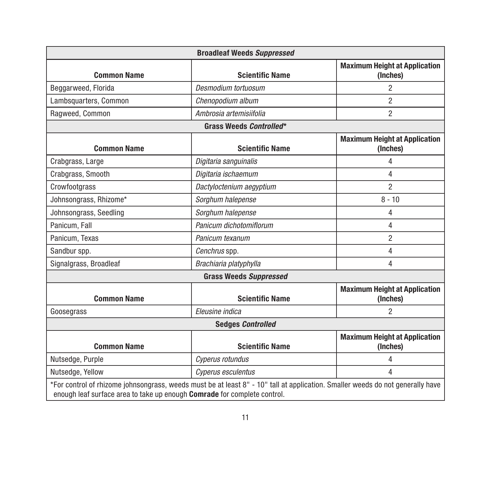| <b>Broadleaf Weeds Suppressed</b>                                        |                                                                                                                                |                                                  |
|--------------------------------------------------------------------------|--------------------------------------------------------------------------------------------------------------------------------|--------------------------------------------------|
| <b>Common Name</b>                                                       | <b>Scientific Name</b>                                                                                                         | <b>Maximum Height at Application</b><br>(Inches) |
| Beggarweed, Florida                                                      | Desmodium tortuosum                                                                                                            | $\overline{2}$                                   |
| Lambsquarters, Common                                                    | Chenopodium album                                                                                                              | $\overline{c}$                                   |
| Ragweed, Common                                                          | Ambrosia artemisiifolia                                                                                                        | $\overline{2}$                                   |
|                                                                          | Grass Weeds Controlled*                                                                                                        |                                                  |
| <b>Common Name</b>                                                       | <b>Scientific Name</b>                                                                                                         | <b>Maximum Height at Application</b><br>(Inches) |
| Crabgrass, Large                                                         | Digitaria sanguinalis                                                                                                          | 4                                                |
| Crabgrass, Smooth                                                        | Digitaria ischaemum                                                                                                            | 4                                                |
| Crowfootgrass                                                            | Dactyloctenium aegyptium                                                                                                       | $\overline{c}$                                   |
| Johnsongrass, Rhizome*                                                   | Sorghum halepense                                                                                                              | $8 - 10$                                         |
| Johnsongrass, Seedling                                                   | Sorghum halepense                                                                                                              | 4                                                |
| Panicum, Fall                                                            | Panicum dichotomiflorum                                                                                                        | 4                                                |
| Panicum, Texas                                                           | Panicum texanum                                                                                                                | $\overline{2}$                                   |
| Sandbur spp.                                                             | Cenchrus spp.                                                                                                                  | 4                                                |
| Signalgrass, Broadleaf                                                   | Brachiaria platyphylla                                                                                                         | 4                                                |
| <b>Grass Weeds Suppressed</b>                                            |                                                                                                                                |                                                  |
| <b>Common Name</b>                                                       | <b>Scientific Name</b>                                                                                                         | <b>Maximum Height at Application</b><br>(Inches) |
| Goosegrass                                                               | Eleusine indica                                                                                                                | $\overline{2}$                                   |
| <b>Sedges Controlled</b>                                                 |                                                                                                                                |                                                  |
| <b>Common Name</b>                                                       | <b>Scientific Name</b>                                                                                                         | <b>Maximum Height at Application</b><br>(Inches) |
| Nutsedge, Purple                                                         | Cyperus rotundus                                                                                                               | 4                                                |
| Nutsedge, Yellow                                                         | Cyperus esculentus                                                                                                             | 4                                                |
| enough leaf surface area to take up enough Comrade for complete control. | *For control of rhizome johnsongrass, weeds must be at least 8" - 10" tall at application. Smaller weeds do not generally have |                                                  |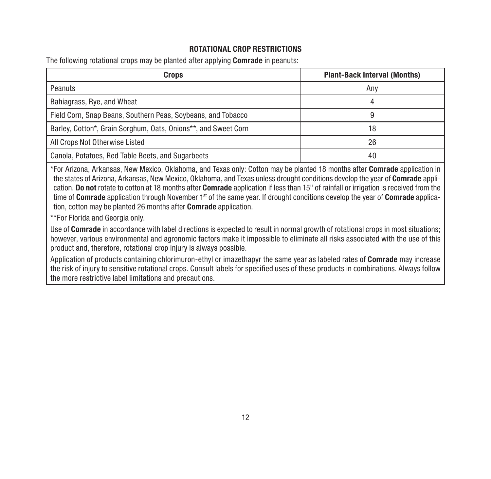#### ROTATIONAL CROP RESTRICTIONS

The following rotational crops may be planted after applying Comrade in peanuts:

| Crops                                                          | <b>Plant-Back Interval (Months)</b> |
|----------------------------------------------------------------|-------------------------------------|
| Peanuts                                                        | Anv                                 |
| Bahiagrass, Rye, and Wheat                                     |                                     |
| Field Corn, Snap Beans, Southern Peas, Soybeans, and Tobacco   |                                     |
| Barley, Cotton*, Grain Sorghum, Oats, Onions**, and Sweet Corn | 18                                  |
| All Crops Not Otherwise Listed                                 | 26                                  |
| Canola, Potatoes, Red Table Beets, and Sugarbeets              | 40                                  |

\*For Arizona, Arkansas, New Mexico, Oklahoma, and Texas only: Cotton may be planted 18 months after Comrade application in the states of Arizona, Arkansas, New Mexico, Oklahoma, and Texas unless drought conditions develop the year of Comrade application. Do not rotate to cotton at 18 months after Comrade application if less than 15" of rainfall or irrigation is received from the time of Comrade application through November  $1<sup>st</sup>$  of the same year. If drought conditions develop the year of Comrade application, cotton may be planted 26 months after Comrade application.

\*\*For Florida and Georgia only.

Use of Comrade in accordance with label directions is expected to result in normal growth of rotational crops in most situations: however, various environmental and agronomic factors make it impossible to eliminate all risks associated with the use of this product and, therefore, rotational crop injury is always possible.

Application of products containing chlorimuron-ethyl or imazethapyr the same year as labeled rates of Comrade may increase the risk of injury to sensitive rotational crops. Consult labels for specified uses of these products in combinations. Always follow the more restrictive label limitations and precautions.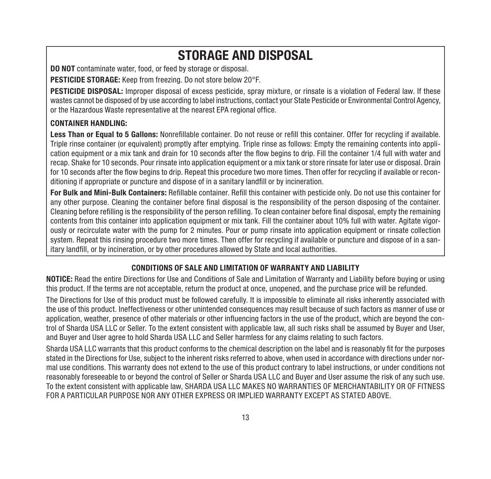## STORAGE AND DISPOSAL

**DO NOT** contaminate water, food, or feed by storage or disposal.

PESTICIDE STORAGE: Keep from freezing. Do not store below 20°F.

PESTICIDE DISPOSAL: Improper disposal of excess pesticide, spray mixture, or rinsate is a violation of Federal law. If these wastes cannot be disposed of by use according to label instructions, contact your State Pesticide or Environmental Control Agency, or the Hazardous Waste representative at the nearest EPA regional office.

#### CONTAINER HANDLING:

Less Than or Equal to 5 Gallons: Nonrefillable container. Do not reuse or refill this container. Offer for recycling if available. Triple rinse container (or equivalent) promptly after emptying. Triple rinse as follows: Empty the remaining contents into application equipment or a mix tank and drain for 10 seconds after the flow begins to drip. Fill the container 1/4 full with water and recap. Shake for 10 seconds. Pour rinsate into application equipment or a mix tank or store rinsate for later use or disposal. Drain for 10 seconds after the flow begins to drip. Repeat this procedure two more times. Then offer for recycling if available or reconditioning if appropriate or puncture and dispose of in a sanitary landfill or by incineration.

For Bulk and Mini-Bulk Containers: Refillable container. Refill this container with pesticide only. Do not use this container for any other purpose. Cleaning the container before final disposal is the responsibility of the person disposing of the container. Cleaning before refilling is the responsibility of the person refilling. To clean container before final disposal, empty the remaining contents from this container into application equipment or mix tank. Fill the container about 10% full with water. Agitate vigorously or recirculate water with the pump for 2 minutes. Pour or pump rinsate into application equipment or rinsate collection system. Repeat this rinsing procedure two more times. Then offer for recycling if available or puncture and dispose of in a sanitary landfill, or by incineration, or by other procedures allowed by State and local authorities.

#### CONDITIONS OF SALE AND LIMITATION OF WARRANTY AND LIABILITY

NOTICE: Read the entire Directions for Use and Conditions of Sale and Limitation of Warranty and Liability before buying or using this product. If the terms are not acceptable, return the product at once, unopened, and the purchase price will be refunded.

The Directions for Use of this product must be followed carefully. It is impossible to eliminate all risks inherently associated with the use of this product. Ineffectiveness or other unintended consequences may result because of such factors as manner of use or application, weather, presence of other materials or other influencing factors in the use of the product, which are beyond the control of Sharda USA LLC or Seller. To the extent consistent with applicable law, all such risks shall be assumed by Buyer and User, and Buyer and User agree to hold Sharda USA LLC and Seller harmless for any claims relating to such factors.

Sharda USA LLC warrants that this product conforms to the chemical description on the label and is reasonably fit for the purposes stated in the Directions for Use, subject to the inherent risks referred to above, when used in accordance with directions under normal use conditions. This warranty does not extend to the use of this product contrary to label instructions, or under conditions not reasonably foreseeable to or beyond the control of Seller or Sharda USA LLC and Buyer and User assume the risk of any such use. To the extent consistent with applicable law, SHARDA USA LLC MAKES NO WARRANTIES OF MERCHANTABILITY OR OF FITNESS FOR A PARTICULAR PURPOSE NOR ANY OTHER EXPRESS OR IMPLIED WARRANTY EXCEPT AS STATED ABOVE.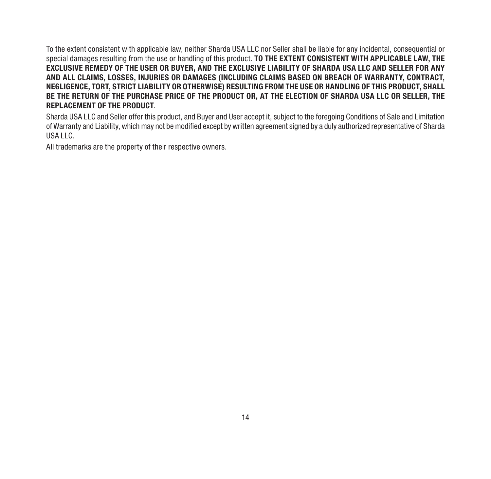To the extent consistent with applicable law, neither Sharda USA LLC nor Seller shall be liable for any incidental, consequential or special damages resulting from the use or handling of this product. TO THE EXTENT CONSISTENT WITH APPLICABLE LAW, THE EXCLUSIVE REMEDY OF THE USER OR BUYER, AND THE EXCLUSIVE LIABILITY OF SHARDA USA LLC AND SELLER FOR ANY AND ALL CLAIMS, LOSSES, INJURIES OR DAMAGES (INCLUDING CLAIMS BASED ON BREACH OF WARRANTY, CONTRACT, NEGLIGENCE, TORT, STRICT LIABILITY OR OTHERWISE) RESULTING FROM THE USE OR HANDLING OF THIS PRODUCT, SHALL BE THE RETURN OF THE PURCHASE PRICE OF THE PRODUCT OR, AT THE ELECTION OF SHARDA USA LLC OR SELLER, THE REPLACEMENT OF THE PRODUCT.

Sharda USA LLC and Seller offer this product, and Buyer and User accept it, subject to the foregoing Conditions of Sale and Limitation of Warranty and Liability, which may not be modified except by written agreement signed by a duly authorized representative of Sharda USA LLC.

All trademarks are the property of their respective owners.